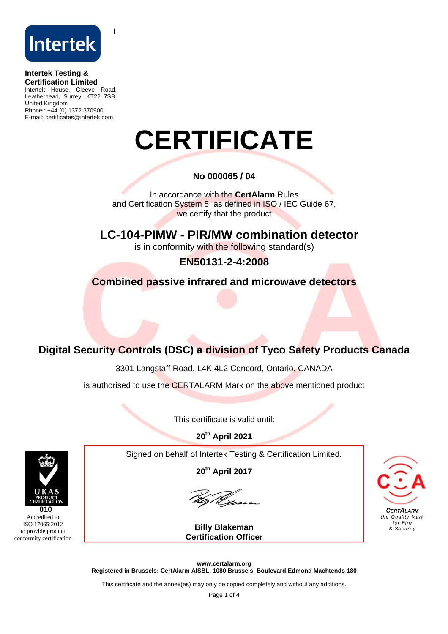

**I**

## **Intertek Testing & Certification Limited**

Intertek House, Cleeve Road, Leatherhead, Surrey, KT22 7SB, United Kingdom Phone : +44 (0) 1372 370900 E-mail: certificates@intertek.com

# **CERTIFICATE**

# **No 000065 / 04**

In accordance with the **CertAlarm** Rules and Certification System 5, as defined in ISO / IEC Guide 67, we certify that the product

 **LC-104-PIMW - PIR/MW combination detector**  is in conformity with the following standard(s)

**EN50131-2-4:2008** 

**Combined passive infrared and microwave detectors** 

# **Digital Security Controls (DSC) a division of Tyco Safety Products Canada**

3301 Langstaff Road, L4K 4L2 Concord, Ontario, CANADA

is authorised to use the CERTALARM Mark on the above mentioned product

This certificate is valid until:

**20th April 2021** 

Signed on behalf of Intertek Testing & Certification Limited.

**20th April 2017** 

**Billy Blakeman Certification Officer**



**www.certalarm.org Registered in Brussels: CertAlarm AISBL, 1080 Brussels, Boulevard Edmond Machtends 180** 

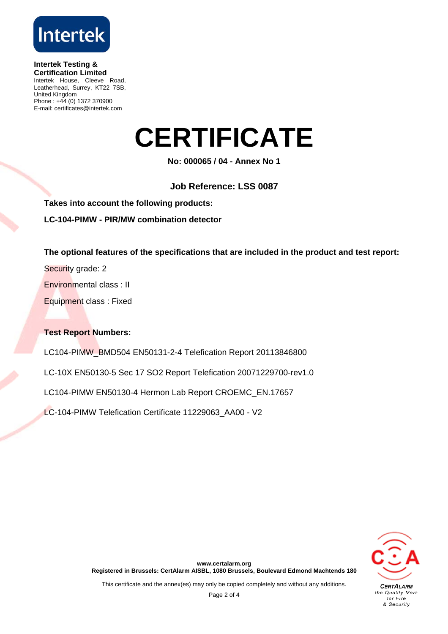

**Intertek Testing & Certification Limited**  Intertek House, Cleeve Road, Leatherhead, Surrey, KT22 7SB, United Kingdom Phone : +44 (0) 1372 370900 E-mail: certificates@intertek.com

# **CERTIFICATE**

**No: 000065 / 04 - Annex No 1** 

**Job Reference: LSS 0087** 

**Takes into account the following products:** 

**LC-104-PIMW - PIR/MW combination detector** 

**The optional features of the specifications that are included in the product and test report:** 

Security grade: 2

Environmental class : II

Equipment class : Fixed

### **Test Report Numbers:**

LC104-PIMW\_BMD504 EN50131-2-4 Telefication Report 20113846800

LC-10X EN50130-5 Sec 17 SO2 Report Telefication 20071229700-rev1.0

LC104-PIMW EN50130-4 Hermon Lab Report CROEMC\_EN.17657

LC-104-PIMW Telefication Certificate 11229063\_AA00 - V2

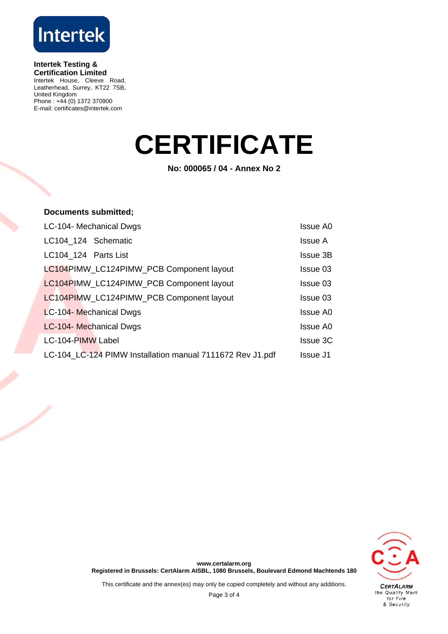

#### **Intertek Testing & Certification Limited**

Intertek House, Cleeve Road, Leatherhead, Surrey, KT22 7SB, United Kingdom Phone : +44 (0) 1372 370900 E-mail: certificates@intertek.com

# **CERTIFICATE**

**No: 000065 / 04 - Annex No 2** 

## **Documents submitted;**

| LC-104- Mechanical Dwgs                                   | <b>Issue A0</b> |
|-----------------------------------------------------------|-----------------|
| LC104 124 Schematic                                       | Issue A         |
| LC104_124 Parts List                                      | <b>Issue 3B</b> |
| LC104PIMW_LC124PIMW_PCB Component layout                  | Issue 03        |
| LC104PIMW_LC124PIMW_PCB Component layout                  | Issue 03        |
| LC104PIMW LC124PIMW PCB Component layout                  | Issue 03        |
| LC-104- Mechanical Dwgs                                   | <b>Issue A0</b> |
| LC-104- Mechanical Dwgs                                   | <b>Issue A0</b> |
| LC-104-PIMW Label                                         | <b>Issue 3C</b> |
| LC-104_LC-124 PIMW Installation manual 7111672 Rev J1.pdf | Issue J1        |



**www.certalarm.org Registered in Brussels: CertAlarm AISBL, 1080 Brussels, Boulevard Edmond Machtends 180**